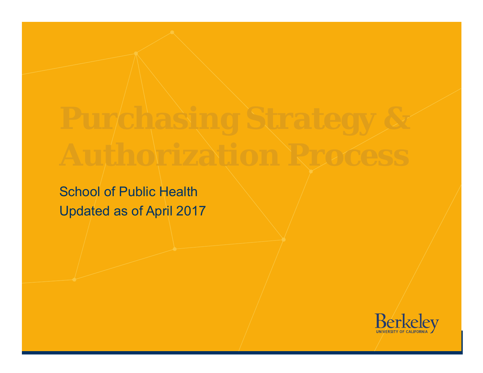School of Public Health Updated as of April 2017

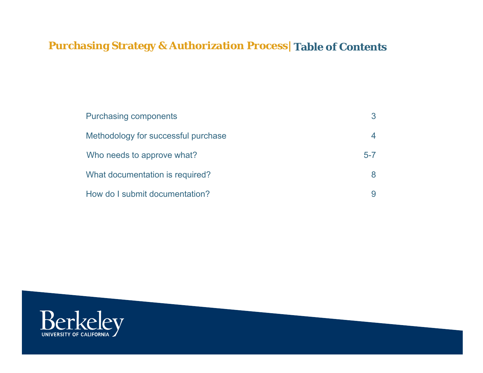## **Purchasing Strategy & Authorization Process|Table of Contents**

| <b>Purchasing components</b>        |         |
|-------------------------------------|---------|
| Methodology for successful purchase | 4       |
| Who needs to approve what?          | $5 - 7$ |
| What documentation is required?     | 8       |
| How do I submit documentation?      | 9       |

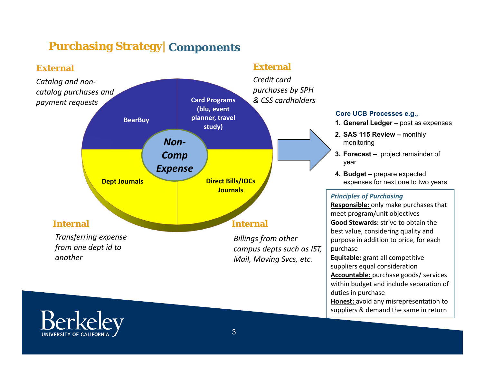## **Purchasing Strategy| Components**



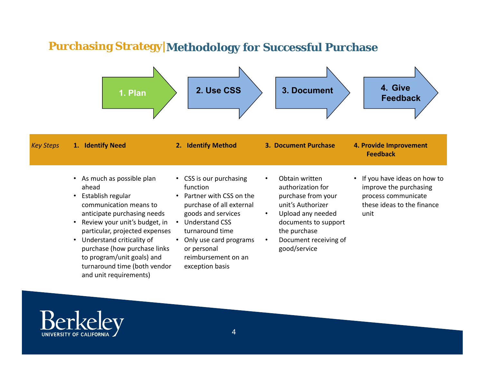## **Purchasing Strategy|Methodology for Successful Purchase**



and unit requirements)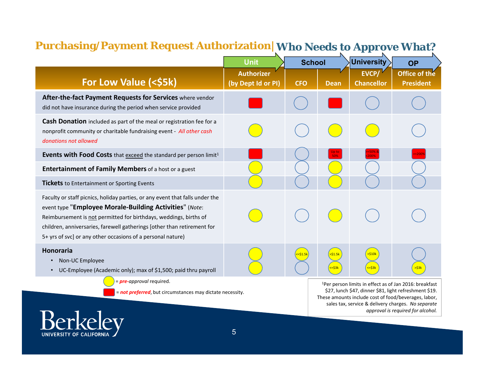# Purchasing/Payment Request Authorization| Who Needs to Approve What?

|                                                                                                                                                                                                                                                                                                                                                        | <b>Unit</b>                             | <b>School</b>            |                                  | <b>University</b>                 | <b>OP</b>                                                                                                                                                                                                                                                                       |
|--------------------------------------------------------------------------------------------------------------------------------------------------------------------------------------------------------------------------------------------------------------------------------------------------------------------------------------------------------|-----------------------------------------|--------------------------|----------------------------------|-----------------------------------|---------------------------------------------------------------------------------------------------------------------------------------------------------------------------------------------------------------------------------------------------------------------------------|
| For Low Value (<\$5k)                                                                                                                                                                                                                                                                                                                                  | <b>Authorizer</b><br>(by Dept Id or PI) | <b>CFO</b>               | <b>Dean</b>                      | <b>EVCP/</b><br><b>Chancellor</b> | Office of the<br><b>President</b>                                                                                                                                                                                                                                               |
| After-the-fact Payment Requests for Services where vendor<br>did not have insurance during the period when service provided                                                                                                                                                                                                                            |                                         |                          |                                  |                                   |                                                                                                                                                                                                                                                                                 |
| Cash Donation included as part of the meal or registration fee for a<br>nonprofit community or charitable fundraising event - All other cash<br>donations not allowed                                                                                                                                                                                  |                                         |                          |                                  |                                   |                                                                                                                                                                                                                                                                                 |
| <b>Events with Food Costs</b> that exceed the standard per person limit <sup>1</sup>                                                                                                                                                                                                                                                                   |                                         |                          | 50%                              |                                   |                                                                                                                                                                                                                                                                                 |
| Entertainment of Family Members of a host or a guest                                                                                                                                                                                                                                                                                                   |                                         |                          |                                  |                                   |                                                                                                                                                                                                                                                                                 |
| <b>Tickets</b> to Entertainment or Sporting Events                                                                                                                                                                                                                                                                                                     |                                         |                          |                                  |                                   |                                                                                                                                                                                                                                                                                 |
| Faculty or staff picnics, holiday parties, or any event that falls under the<br>event type "Employee Morale-Building Activities" (Note:<br>Reimbursement is not permitted for birthdays, weddings, births of<br>children, anniversaries, farewell gatherings [other than retirement for<br>5+ yrs of svc] or any other occasions of a personal nature) |                                         |                          |                                  |                                   |                                                                                                                                                                                                                                                                                 |
| <b>Honoraria</b><br>Non-UC Employee<br>$\bullet$<br>UC-Employee (Academic only); max of \$1,500; paid thru payroll<br>$\bullet$                                                                                                                                                                                                                        |                                         | <mark>&lt;=\$1.5k</mark> | $>$ \$1.5 $\mathsf{k}$<br><=\$3k | 510k<br><mark>&lt;=\$3k</mark>    |                                                                                                                                                                                                                                                                                 |
| = pre-approval required.<br>= not preferred, but circumstances may dictate necessity.<br>$\alpha$ rlzo                                                                                                                                                                                                                                                 |                                         |                          |                                  |                                   | <sup>1</sup> Per person limits in effect as of Jan 2016: breakfast<br>\$27, lunch \$47, dinner \$81, light refreshment \$19.<br>These amounts include cost of food/beverages, labor,<br>sales tax, service & delivery charges. No separate<br>approval is required for alcohol. |
|                                                                                                                                                                                                                                                                                                                                                        |                                         |                          |                                  |                                   |                                                                                                                                                                                                                                                                                 |

5

DE  $\Box$ 

UNIVERSITY OF CALIFORNIA

Ш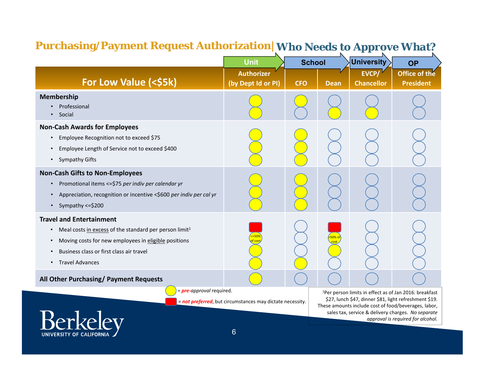## **Purchasing/Payment Request Authorization|Who Needs to Approve What?**

|                                                                                                                                                                                                                                                                            | Unit                                                      |            | <b>School</b> | University                        | <b>OP</b>                                                                                                                                                                                                                                                                       |
|----------------------------------------------------------------------------------------------------------------------------------------------------------------------------------------------------------------------------------------------------------------------------|-----------------------------------------------------------|------------|---------------|-----------------------------------|---------------------------------------------------------------------------------------------------------------------------------------------------------------------------------------------------------------------------------------------------------------------------------|
| For Low Value (<\$5k)                                                                                                                                                                                                                                                      | <b>Authorizer</b><br>(by Dept Id or PI)                   | <b>CFO</b> | <b>Dean</b>   | <b>EVCP/</b><br><b>Chancellor</b> | Office of the<br><b>President</b>                                                                                                                                                                                                                                               |
| Membership<br>Professional<br>Social<br>$\bullet$                                                                                                                                                                                                                          |                                                           |            |               |                                   |                                                                                                                                                                                                                                                                                 |
| <b>Non-Cash Awards for Employees</b><br>Employee Recognition not to exceed \$75<br>Employee Length of Service not to exceed \$400<br><b>Sympathy Gifts</b><br>$\bullet$                                                                                                    |                                                           |            |               |                                   |                                                                                                                                                                                                                                                                                 |
| <b>Non-Cash Gifts to Non-Employees</b><br>Promotional items <= \$75 per indiv per calendar yr<br>Appreciation, recognition or incentive <\$600 per indiv per cal yr<br>$\bullet$<br>Sympathy <= \$200<br>$\bullet$                                                         |                                                           |            |               |                                   |                                                                                                                                                                                                                                                                                 |
| <b>Travel and Entertainment</b><br>Meal costs in excess of the standard per person limit <sup>1</sup><br>$\bullet$<br>Moving costs for new employees in eligible positions<br>$\bullet$<br>Business class or first class air travel<br><b>Travel Advances</b><br>$\bullet$ |                                                           |            |               |                                   |                                                                                                                                                                                                                                                                                 |
| All Other Purchasing/ Payment Requests                                                                                                                                                                                                                                     |                                                           |            |               |                                   |                                                                                                                                                                                                                                                                                 |
| = pre-approval required.                                                                                                                                                                                                                                                   | = not preferred, but circumstances may dictate necessity. |            |               |                                   | <sup>1</sup> Per person limits in effect as of Jan 2016: breakfast<br>\$27, lunch \$47, dinner \$81, light refreshment \$19.<br>These amounts include cost of food/beverages, labor,<br>sales tax, service & delivery charges. No separate<br>approval is required for alcohol. |

6

UNIVERSITY OF CALIFORNIA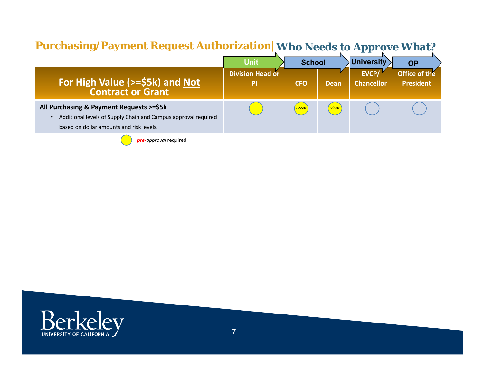## **Purchasing/Payment Request Authorization|Who Needs to Approve What?**

|                                                                                                                                                        | <b>Unit</b>                   | <b>School</b>     |                         |                            | <b>University</b>                 | <b>OP</b> |
|--------------------------------------------------------------------------------------------------------------------------------------------------------|-------------------------------|-------------------|-------------------------|----------------------------|-----------------------------------|-----------|
| <b>For High Value (&gt;=\$5k) and Not<br/>Contract or Grant</b>                                                                                        | <b>Division Head or</b><br>PI | <b>CFO</b>        | <b>Dean</b>             | EVCP/<br><b>Chancellor</b> | Office of the<br><b>President</b> |           |
| All Purchasing & Payment Requests >=\$5k<br>Additional levels of Supply Chain and Campus approval required<br>based on dollar amounts and risk levels. |                               | $\leq$ = \$50 $k$ | $\left  \right $ >\$50k |                            |                                   |           |



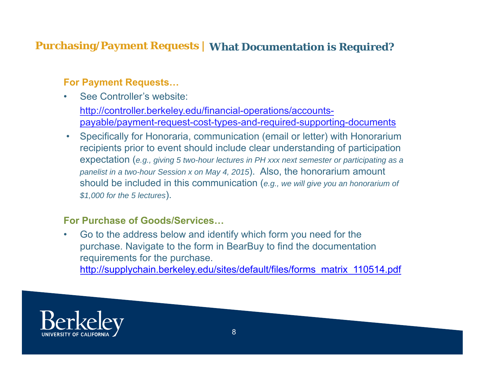## **Purchasing/Payment Requests | What Documentation is Required?**

### **For Payment Requests…**

- • See Controller's website: http://controller.berkeley.edu/financial-operations/accountspayable/payment-request-cost-types-and-required-supporting-documents
- $\bullet$  Specifically for Honoraria, communication (email or letter) with Honorarium recipients prior to event should include clear understanding of participation expectation (*e.g., giving 5 two-hour lectures in PH xxx next semester or participating as a panelist in a two-hour Session x on May 4, 2015*). Also, the honorarium amount should be included in this communication (*e.g., we will give you an honorarium of \$1,000 for the 5 lectures*).

#### **For Purchase of Goods/Services…**

• Go to the address below and identify which form you need for the purchase. Navigate to the form in BearBuy to find the documentation requirements for the purchase. http://supplychain.berkeley.edu/sites/default/files/forms\_matrix\_110514.pdf